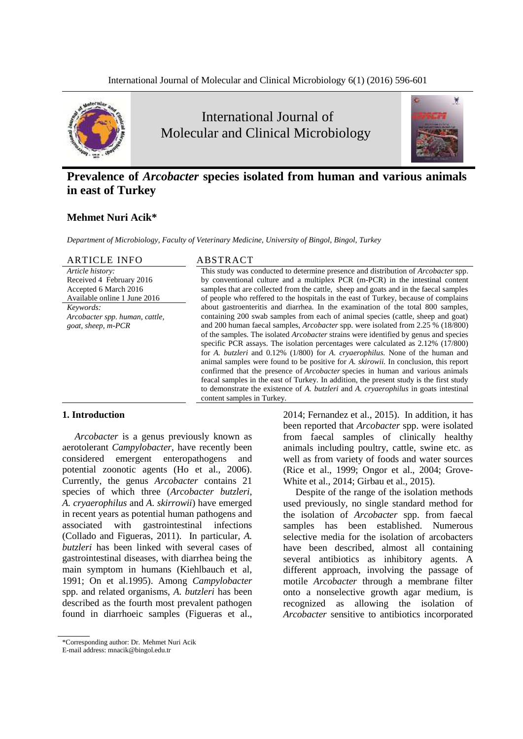

International Journal of Molecular and Clinical Microbiology



# **Prevalence of** *Arcobacter* **species isolated from human and various animals in east of Turkey**

# **Mehmet Nuri Acik\***

*Department of Microbiology, Faculty of Veterinary Medicine, University of Bingol, Bingol, Turkey*

| <b>ARTICLE INFO</b>            | ABSTRACT                                                                                     |  |  |  |  |
|--------------------------------|----------------------------------------------------------------------------------------------|--|--|--|--|
| Article history:               | This study was conducted to determine presence and distribution of <i>Arcobacter</i> spp.    |  |  |  |  |
| Received 4 February 2016       | by conventional culture and a multiplex PCR (m-PCR) in the intestinal content                |  |  |  |  |
| Accepted 6 March 2016          | samples that are collected from the cattle, sheep and goats and in the faecal samples        |  |  |  |  |
| Available online 1 June 2016   | of people who reffered to the hospitals in the east of Turkey, because of complains          |  |  |  |  |
| Keywords:                      | about gastroenteritis and diarrhea. In the examination of the total 800 samples,             |  |  |  |  |
| Arcobacter spp. human, cattle, | containing 200 swab samples from each of animal species (cattle, sheep and goat)             |  |  |  |  |
| goat, sheep, m-PCR             | and 200 human faecal samples, <i>Arcobacter</i> spp. were isolated from 2.25 % (18/800)      |  |  |  |  |
|                                | of the samples. The isolated <i>Arcobacter</i> strains were identified by genus and species  |  |  |  |  |
|                                | specific PCR assays. The isolation percentages were calculated as 2.12% (17/800)             |  |  |  |  |
|                                | for A. butzleri and 0.12% (1/800) for A. cryaerophilus. None of the human and                |  |  |  |  |
|                                | animal samples were found to be positive for A. <i>skirowii</i> . In conclusion, this report |  |  |  |  |
|                                | confirmed that the presence of <i>Arcobacter</i> species in human and various animals        |  |  |  |  |
|                                | feacal samples in the east of Turkey. In addition, the present study is the first study      |  |  |  |  |
|                                | to demonstrate the existence of A. butzleri and A. cryaerophilus in goats intestinal         |  |  |  |  |
|                                | content samples in Turkey.                                                                   |  |  |  |  |

## **1. Introduction**

*Arcobacter* is a genus previously known as aerotolerant *Campylobacter*, have recently been considered emergent enteropathogens and potential zoonotic agents (Ho et al., 2006). Currently, the genus *Arcobacter* contains 21 species of which three (*Arcobacter butzleri*, *A. cryaerophilus* and *A. skirrowii*) have emerged in recent years as potential human pathogens and associated with gastrointestinal infections (Collado and Figueras, 2011). In particular, *A. butzleri* has been linked with several cases of gastrointestinal diseases, with diarrhea being the main symptom in humans (Kiehlbauch et al, 1991; On et al.1995). Among *Campylobacter*  spp. and related organisms, *A. butzleri* has been described as the fourth most prevalent pathogen found in diarrhoeic samples (Figueras et al.,

2014; Fernandez et al., 2015). In addition, it has been reported that *Arcobacter* spp. were isolated from faecal samples of clinically healthy animals including poultry, cattle, swine etc. as well as from variety of foods and water sources (Rice et al., 1999; Ongor et al., 2004; Grove-White et al., 2014; Girbau et al., 2015).

Despite of the range of the isolation methods used previously, no single standard method for the isolation of *Arcobacter* spp. from faecal samples has been established. Numerous selective media for the isolation of arcobacters have been described, almost all containing several antibiotics as inhibitory agents. A different approach, involving the passage of motile *Arcobacter* through a membrane filter onto a nonselective growth agar medium, is recognized as allowing the isolation of *Arcobacter* sensitive to antibiotics incorporated

<sup>\*</sup>Corresponding author: Dr. Mehmet Nuri Acik

E-mail address: mnacik@bingol.edu.tr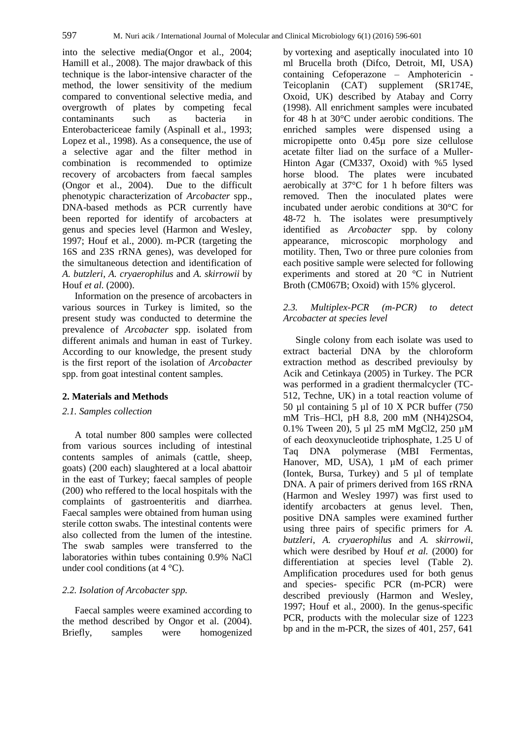into the selective media(Ongor et al., 2004; Hamill et al., 2008). The major drawback of this technique is the labor-intensive character of the method, the lower sensitivity of the medium compared to conventional selective media, and overgrowth of plates by competing fecal contaminants such as bacteria in Enterobactericeae family (Aspinall et al., 1993; Lopez et al., 1998). As a consequence, the use of a selective agar and the filter method in combination is recommended to optimize recovery of arcobacters from faecal samples (Ongor et al., 2004). Due to the difficult phenotypic characterization of *Arcobacter* spp., DNA-based methods as PCR currently have been reported for identify of arcobacters at genus and species level (Harmon and Wesley, 1997; Houf et al., 2000). m-PCR (targeting the 16S and 23S rRNA genes), was developed for the simultaneous detection and identification of *A. butzleri*, *A. cryaerophilus* and *A. skirrowii* by Houf *et al.* (2000).

Information on the presence of arcobacters in various sources in Turkey is limited, so the present study was conducted to determine the prevalence of *Arcobacter* spp. isolated from different animals and human in east of Turkey. According to our knowledge, the present study is the first report of the isolation of *Arcobacter*  spp. from goat intestinal content samples.

#### **2. Materials and Methods**

## *2.1. Samples collection*

A total number 800 samples were collected from various sources including of intestinal contents samples of animals (cattle, sheep, goats) (200 each) slaughtered at a local abattoir in the east of Turkey; faecal samples of people (200) who reffered to the local hospitals with the complaints of gastroenteritis and diarrhea. Faecal samples were obtained from human using sterile cotton swabs. The intestinal contents were also collected from the lumen of the intestine. The swab samples were transferred to the laboratories within tubes containing 0.9% NaCl under cool conditions (at  $4^{\circ}$ C).

# *2.2. Isolation of Arcobacter spp.*

Faecal samples weere examined according to the method described by Ongor et al. (2004). Briefly, samples were homogenized

by vortexing and aseptically inoculated into 10 ml Brucella broth (Difco, Detroit, MI, USA) containing Cefoperazone – Amphotericin - Teicoplanin (CAT) supplement (SR174E, Oxoid, UK) described by Atabay and Corry (1998). All enrichment samples were incubated for 48 h at 30°C under aerobic conditions. The enriched samples were dispensed using a micropipette onto 0.45µ pore size cellulose acetate filter liad on the surface of a Muller-Hinton Agar (CM337, Oxoid) with %5 lysed horse blood. The plates were incubated aerobically at 37°C for 1 h before filters was removed. Then the inoculated plates were incubated under aerobic conditions at 30°C for 48-72 h. The isolates were presumptively identified as *Arcobacter* spp. by colony appearance, microscopic morphology and motility. Then, Two or three pure colonies from each positive sample were selected for following experiments and stored at 20 °C in Nutrient Broth (CM067B; Oxoid) with 15% glycerol.

# *2.3. Multiplex-PCR (m-PCR) to detect Arcobacter at species level*

Single colony from each isolate was used to extract bacterial DNA by the chloroform extraction method as described previoulsy by Acik and Cetinkaya (2005) in Turkey. The PCR was performed in a gradient thermalcycler (TC-512, Techne, UK) in a total reaction volume of 50 µl containing 5 µl of 10 X PCR buffer (750 mM Tris–HCl, pH 8.8, 200 mM (NH4)2SO4, 0.1% Tween 20), 5 µl 25 mM MgCl2, 250 µM of each deoxynucleotide triphosphate, 1.25 U of Taq DNA polymerase (MBI Fermentas, Hanover, MD, USA), 1  $\mu$ M of each primer (Iontek, Bursa, Turkey) and 5 µl of template DNA. A pair of primers derived from 16S rRNA (Harmon and Wesley 1997) was first used to identify arcobacters at genus level. Then, positive DNA samples were examined further using three pairs of specific primers for *A. butzleri*, *A. cryaerophilus* and *A. skirrowii*, which were desribed by Houf *et al.* (2000) for differentiation at species level (Table 2). Amplification procedures used for both genus and species- specific PCR (m-PCR) were described previously (Harmon and Wesley, 1997; Houf et al., 2000). In the genus-specific PCR, products with the molecular size of 1223 bp and in the m-PCR, the sizes of 401, 257, 641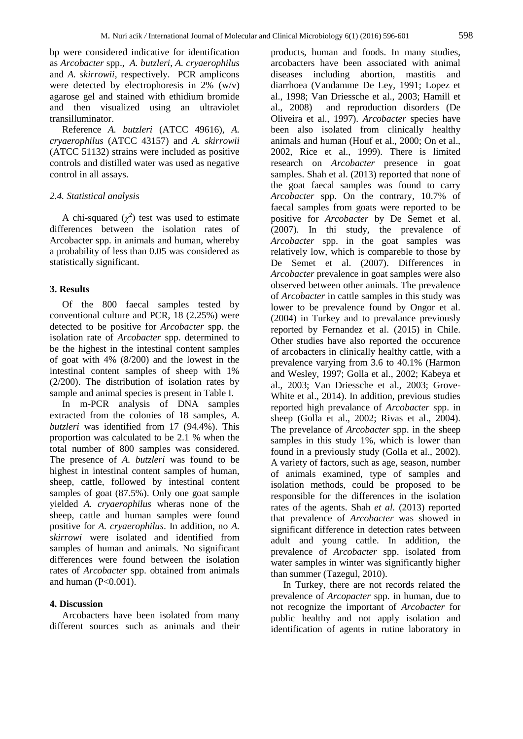bp were considered indicative for identification as *Arcobacter* spp., *A. butzleri*, *A. cryaerophilus* and *A. skirrowii*, respectively. PCR amplicons were detected by electrophoresis in 2% (w/v) agarose gel and stained with ethidium bromide and then visualized using an ultraviolet transilluminator.

Reference *A. butzleri* (ATCC 49616), *A. cryaerophilus* (ATCC 43157) and *A. skirrowii* (ATCC 51132) strains were included as positive controls and distilled water was used as negative control in all assays.

## *2.4. Statistical analysis*

A chi-squared  $(\chi^2)$  test was used to estimate differences between the isolation rates of Arcobacter spp. in animals and human, whereby a probability of less than 0.05 was considered as statistically significant.

### **3. Results**

Of the 800 faecal samples tested by conventional culture and PCR, 18 (2.25%) were detected to be positive for *Arcobacter* spp. the isolation rate of *Arcobacter* spp. determined to be the highest in the intestinal content samples of goat with 4% (8/200) and the lowest in the intestinal content samples of sheep with 1% (2/200). The distribution of isolation rates by sample and animal species is present in Table I.

In m-PCR analysis of DNA samples extracted from the colonies of 18 samples, *A. butzleri* was identified from 17 (94.4%). This proportion was calculated to be 2.1 % when the total number of 800 samples was considered. The presence of *A. butzleri* was found to be highest in intestinal content samples of human, sheep, cattle, followed by intestinal content samples of goat (87.5%). Only one goat sample yielded *A. cryaerophilus* wheras none of the sheep, cattle and human samples were found positive for *A. cryaerophilus*. In addition, no *A. skirrowi* were isolated and identified from samples of human and animals. No significant differences were found between the isolation rates of *Arcobacter* spp. obtained from animals and human  $(P<0.001)$ .

### **4. Discussion**

Arcobacters have been isolated from many different sources such as animals and their products, human and foods. In many studies, arcobacters have been associated with animal diseases including abortion, mastitis and diarrhoea (Vandamme De Ley, 1991; Lopez et al., 1998; Van Driessche et al., 2003; Hamill et al., 2008) and reproduction disorders (De Oliveira et al., 1997). *Arcobacter* species have been also isolated from clinically healthy animals and human (Houf et al., 2000; On et al., 2002, Rice et al., 1999). There is limited research on *Arcobacter* presence in goat samples. Shah et al. (2013) reported that none of the goat faecal samples was found to carry *Arcobacter* spp. On the contrary, 10.7% of faecal samples from goats were reported to be positive for *Arcobacter* by De Semet et al. (2007). In thi study, the prevalence of *Arcobacter* spp. in the goat samples was relatively low, which is compareble to those by De Semet et al. (2007). Differences in *Arcobacter* prevalence in goat samples were also observed between other animals. The prevalence of *Arcobacter* in cattle samples in this study was lower to be prevalence found by Ongor et al. (2004) in Turkey and to prevalance previously reported by Fernandez et al. (2015) in Chile. Other studies have also reported the occurence of arcobacters in clinically healthy cattle, with a prevalence varying from 3.6 to 40.1% (Harmon and Wesley, 1997; Golla et al., 2002; Kabeya et al., 2003; Van Driessche et al., 2003; Grove-White et al., 2014). In addition, previous studies reported high prevalance of *Arcobacter* spp. in sheep (Golla et al., 2002; Rivas et al., 2004). The prevelance of *Arcobacter* spp. in the sheep samples in this study 1%, which is lower than found in a previously study (Golla et al., 2002). A variety of factors, such as age, season, number of animals examined, type of samples and isolation methods, could be proposed to be responsible for the differences in the isolation rates of the agents. Shah *et al.* (2013) reported that prevalence of *Arcobacter* was showed in significant difference in detection rates between adult and young cattle. In addition, the prevalence of *Arcobacter* spp. isolated from water samples in winter was significantly higher than summer (Tazegul, 2010).

In Turkey, there are not records related the prevalence of *Arcopacter* spp. in human, due to not recognize the important of *Arcobacter* for public healthy and not apply isolation and identification of agents in rutine laboratory in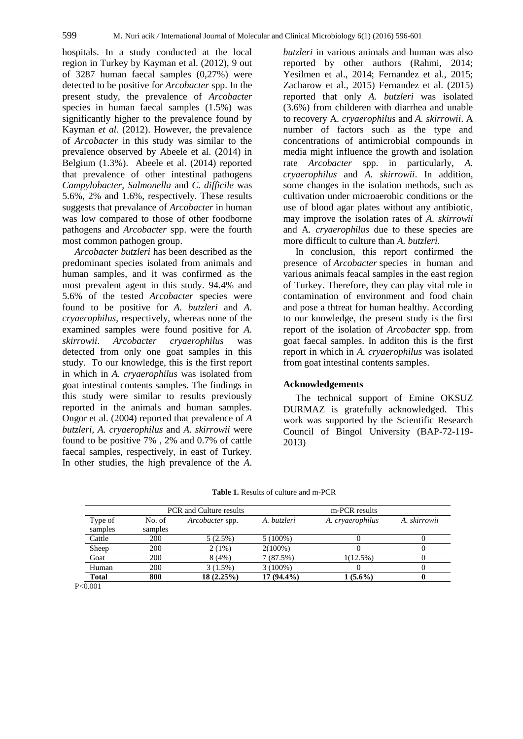hospitals. In a study conducted at the local region in Turkey by Kayman et al. (2012), 9 out of 3287 human faecal samples (0,27%) were detected to be positive for *Arcobacter* spp. In the present study, the prevalence of *Arcobacter*  species in human faecal samples (1.5%) was significantly higher to the prevalence found by Kayman *et al.* (2012). However, the prevalence of *Arcobacter* in this study was similar to the prevalence observed by Abeele et al. (2014) in Belgium (1.3%). Abeele et al. (2014) reported that prevalence of other intestinal pathogens *Campylobacter*, *Salmonella* and *C. difficile* was 5.6%, 2% and 1.6%, respectively. These results suggests that prevalance of *Arcobacter* in human was low compared to those of other foodborne pathogens and *Arcobacter* spp. were the fourth most common pathogen group.

*Arcobacter butzleri* has been described as the predominant species isolated from animals and human samples, and it was confirmed as the most prevalent agent in this study. 94.4% and 5.6% of the tested *Arcobacter* species were found to be positive for *A. butzleri* and *A. cryaerophilus*, respectively, whereas none of the examined samples were found positive for *A. skirrowii*. *Arcobacter cryaerophilus* was detected from only one goat samples in this study. To our knowledge, this is the first report in which in *A. cryaerophilus* was isolated from goat intestinal contents samples. The findings in this study were similar to results previously reported in the animals and human samples. Ongor et al*.* (2004) reported that prevalence of *A butzleri, A. cryaerophilus* and *A. skirrowii* were found to be positive 7% , 2% and 0.7% of cattle faecal samples, respectively, in east of Turkey. In other studies, the high prevalence of the *A.* 

*butzleri* in various animals and human was also reported by other authors (Rahmi, 2014; Yesilmen et al., 2014; Fernandez et al., 2015; Zacharow et al., 2015) Fernandez et al. (2015) reported that only *A. butzleri* was isolated (3.6%) from childeren with diarrhea and unable to recovery A*. cryaerophilus* and *A. skirrowii*. A number of factors such as the type and concentrations of antimicrobial compounds in media might influence the growth and isolation rate *Arcobacter* spp. in particularly, *A. cryaerophilus* and *A. skirrowii*. In addition, some changes in the isolation methods, such as cultivation under microaerobic conditions or the use of blood agar plates without any antibiotic, may improve the isolation rates of *A. skirrowii* and A*. cryaerophilus* due to these species are more difficult to culture than *A. butzleri*.

In conclusion, this report confirmed the presence of *Arcobacter* species in human and various animals feacal samples in the east region of Turkey. Therefore, they can play vital role in contamination of environment and food chain and pose a thtreat for human healthy. According to our knowledge, the present study is the first report of the isolation of *Arcobacter* spp. from goat faecal samples. In additon this is the first report in which in *A. cryaerophilus* was isolated from goat intestinal contents samples.

#### **Acknowledgements**

The technical support of Emine OKSUZ DURMAZ is gratefully acknowledged. This work was supported by the Scientific Research Council of Bingol University (BAP-72-119- 2013)

|                    | <b>PCR</b> and Culture results |                 | m-PCR results |                  |              |
|--------------------|--------------------------------|-----------------|---------------|------------------|--------------|
| Type of<br>samples | No. of<br>samples              | Arcobacter spp. | A. butzleri   | A. cryaerophilus | A. skirrowii |
| Cattle             | 200                            | 5(2.5%)         | $5(100\%)$    |                  |              |
| Sheep              | 200                            | 2(1%)           | $2(100\%)$    |                  |              |
| Goat               | 200                            | 8(4%)           | 7(87.5%)      | $1(12.5\%)$      |              |
| Human              | 200                            | $3(1.5\%)$      | $3(100\%)$    |                  |              |
| Total              | 800                            | $18(2.25\%)$    | 17 (94.4%)    | $1(5.6\%)$       |              |

**Table 1.** Results of culture and m-PCR

P<0.001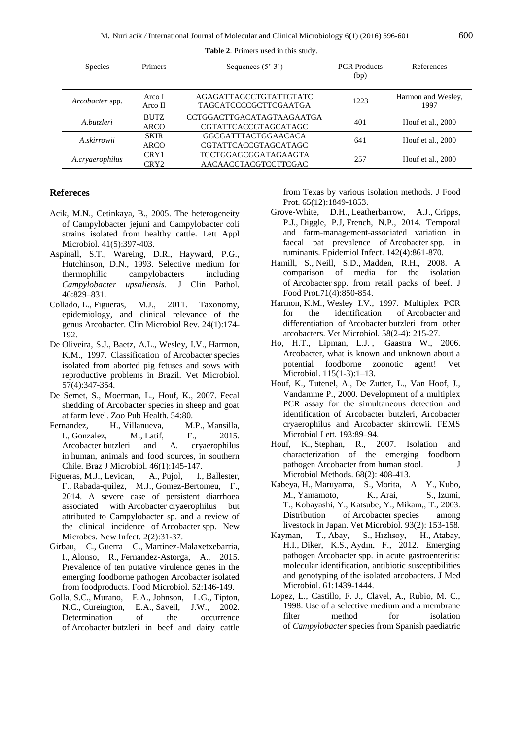| <b>Species</b>  | Primers                    | Sequences $(5^{\degree} - 3^{\degree})$                   | <b>PCR</b> Products<br>(bp) | References                 |
|-----------------|----------------------------|-----------------------------------------------------------|-----------------------------|----------------------------|
| Arcobacter spp. | Arco I<br>Arco II          | AGAGATTAGCCTGTATTGTATC<br><b>TAGCATCCCCGCTTCGAATGA</b>    | 1223                        | Harmon and Wesley,<br>1997 |
| A.butzleri      | <b>BUTZ</b><br><b>ARCO</b> | CCTGGACTTGACATAGTAAGAATGA<br><b>CGTATTCACCGTAGCATAGC</b>  | 401                         | Houf et al., 2000          |
| A.skirrowii     | <b>SKIR</b><br><b>ARCO</b> | <b>GGCGATTTACTGGAACACA</b><br><b>CGTATTCACCGTAGCATAGC</b> | 641                         | Houf et al., $2000$        |
| A.cryaerophilus | CRY1<br>CRY <sub>2</sub>   | <b>TGCTGGAGCGGATAGAAGTA</b><br>AACAACCTACGTCCTTCGAC       | 257                         | Houf et al., $2000$        |

**Table 2**. Primers used in this study.

# **Refereces**

- Acik, M.N., Cetinkaya, B., 2005. [The heterogeneity](http://www.ncbi.nlm.nih.gov/pubmed/16238642)  [of Campylobacter jejuni and Campylobacter coli](http://www.ncbi.nlm.nih.gov/pubmed/16238642)  [strains isolated from healthy cattle.](http://www.ncbi.nlm.nih.gov/pubmed/16238642) Lett Appl Microbiol. 41(5):397-403.
- Aspinall, S.T., Wareing, D.R., Hayward, P.G., Hutchinson, D.N., 1993. Selective medium for thermophilic campylobacters including<br>
Campylobacter upsaliensis. J Clin Pathol. *Campylobacter upsaliensis.* J 46:829–831.
- [Collado,](http://www.ncbi.nlm.nih.gov/pubmed/?term=Collado%20L%5BAuthor%5D&cauthor=true&cauthor_uid=21233511) L., [Figueras,](http://www.ncbi.nlm.nih.gov/pubmed/?term=Figueras%20MJ%5BAuthor%5D&cauthor=true&cauthor_uid=21233511) M.J., 2011. Taxonomy, epidemiology, and clinical relevance of the genus Arcobacter. [Clin Microbiol Rev.](http://www.ncbi.nlm.nih.gov/pubmed/21233511) 24(1):174- 192.
- De [Oliveira, S.J.,](http://www.ncbi.nlm.nih.gov/pubmed/?term=de%20Oliveira%20SJ%5BAuthor%5D&cauthor=true&cauthor_uid=9444071) [Baetz, A.L.,](http://www.ncbi.nlm.nih.gov/pubmed/?term=Baetz%20AL%5BAuthor%5D&cauthor=true&cauthor_uid=9444071) [Wesley, I.V.](http://www.ncbi.nlm.nih.gov/pubmed/?term=Wesley%20IV%5BAuthor%5D&cauthor=true&cauthor_uid=9444071), [Harmon,](http://www.ncbi.nlm.nih.gov/pubmed/?term=Harmon%20KM%5BAuthor%5D&cauthor=true&cauthor_uid=9444071)  [K.M.,](http://www.ncbi.nlm.nih.gov/pubmed/?term=Harmon%20KM%5BAuthor%5D&cauthor=true&cauthor_uid=9444071) 1997. Classification of Arcobacter species isolated from aborted pig fetuses and sows with reproductive problems in Brazil. [Vet Microbiol.](http://www.ncbi.nlm.nih.gov/pubmed/?term=oliveira+1997+arcobacter) 57(4):347-354.
- De Semet, S., Moerman, L., Houf, K., 2007. Fecal shedding of Arcobacter species in sheep and goat at farm level. Zoo Pub Health. 54:80.
- [Fernandez, H.,](http://www.ncbi.nlm.nih.gov/pubmed/?term=Fernandez%20H%5BAuthor%5D&cauthor=true&cauthor_uid=26221100) [Villanueva, M.P.](http://www.ncbi.nlm.nih.gov/pubmed/?term=Villanueva%20MP%5BAuthor%5D&cauthor=true&cauthor_uid=26221100), [Mansilla,](http://www.ncbi.nlm.nih.gov/pubmed/?term=Mansilla%20I%5BAuthor%5D&cauthor=true&cauthor_uid=26221100)  [I.](http://www.ncbi.nlm.nih.gov/pubmed/?term=Mansilla%20I%5BAuthor%5D&cauthor=true&cauthor_uid=26221100), [Gonzalez, M.,](http://www.ncbi.nlm.nih.gov/pubmed/?term=Gonzalez%20M%5BAuthor%5D&cauthor=true&cauthor_uid=26221100) [Latif, F.](http://www.ncbi.nlm.nih.gov/pubmed/?term=Latif%20F%5BAuthor%5D&cauthor=true&cauthor_uid=26221100), 2015. Arcobacter butzleri and A. cryaerophilus in human, animals and food sources, in southern Chile. [Braz J Microbiol.](http://www.ncbi.nlm.nih.gov/pubmed/26221100) 46(1):145-147.
- [Figueras,](http://www.ncbi.nlm.nih.gov/pubmed/?term=Figueras%20MJ%5BAuthor%5D&cauthor=true&cauthor_uid=25356338) M.J., [Levican, A.](http://www.ncbi.nlm.nih.gov/pubmed/?term=Levican%20A%5BAuthor%5D&cauthor=true&cauthor_uid=25356338), [Pujol, I.,](http://www.ncbi.nlm.nih.gov/pubmed/?term=Pujol%20I%5BAuthor%5D&cauthor=true&cauthor_uid=25356338) [Ballester,](http://www.ncbi.nlm.nih.gov/pubmed/?term=Ballester%20F%5BAuthor%5D&cauthor=true&cauthor_uid=25356338)  [F.,](http://www.ncbi.nlm.nih.gov/pubmed/?term=Ballester%20F%5BAuthor%5D&cauthor=true&cauthor_uid=25356338) [Rabada-quilez, M.J.](http://www.ncbi.nlm.nih.gov/pubmed/?term=Rabada%20Quilez%20MJ%5BAuthor%5D&cauthor=true&cauthor_uid=25356338), [Gomez-Bertomeu, F.](http://www.ncbi.nlm.nih.gov/pubmed/?term=Gomez-Bertomeu%20F%5BAuthor%5D&cauthor=true&cauthor_uid=25356338), 2014. A severe case of persistent diarrhoea associated with Arcobacter cryaerophilus but attributed to Campylobacter sp. and a review of the clinical incidence of Arcobacter spp. [New](http://www.ncbi.nlm.nih.gov/pubmed/25356338)  [Microbes. New Infect.](http://www.ncbi.nlm.nih.gov/pubmed/25356338) 2(2):31-37.
- [Girbau, C.](http://www.ncbi.nlm.nih.gov/pubmed/?term=Girbau%20C%5BAuthor%5D&cauthor=true&cauthor_uid=26338128), [Guerra C.](http://www.ncbi.nlm.nih.gov/pubmed/?term=Guerra%20C%5BAuthor%5D&cauthor=true&cauthor_uid=26338128), [Martinez-Malaxetxebarria,](http://www.ncbi.nlm.nih.gov/pubmed/?term=Mart%C3%ADnez-Malaxetxebarria%20I%5BAuthor%5D&cauthor=true&cauthor_uid=26338128)  [I.](http://www.ncbi.nlm.nih.gov/pubmed/?term=Mart%C3%ADnez-Malaxetxebarria%20I%5BAuthor%5D&cauthor=true&cauthor_uid=26338128), [Alonso, R.,](http://www.ncbi.nlm.nih.gov/pubmed/?term=Alonso%20R%5BAuthor%5D&cauthor=true&cauthor_uid=26338128) [Fernandez-Astorga, A.](http://www.ncbi.nlm.nih.gov/pubmed/?term=Fern%C3%A1ndez-Astorga%20A%5BAuthor%5D&cauthor=true&cauthor_uid=26338128), 2015. Prevalence of ten putative virulence genes in the emerging foodborne pathogen Arcobacter isolated from foodproducts. Food [Microbiol.](http://www.ncbi.nlm.nih.gov/pubmed/26338128) 52:146-149.
- [Golla,](http://www.ncbi.nlm.nih.gov/pubmed/?term=Golla%20SC%5BAuthor%5D&cauthor=true&cauthor_uid=12495000) S.C., [Murano, E.A.](http://www.ncbi.nlm.nih.gov/pubmed/?term=Murano%20EA%5BAuthor%5D&cauthor=true&cauthor_uid=12495000), [Johnson,](http://www.ncbi.nlm.nih.gov/pubmed/?term=Johnson%20LG%5BAuthor%5D&cauthor=true&cauthor_uid=12495000) L.G., [Tipton,](http://www.ncbi.nlm.nih.gov/pubmed/?term=Tipton%20NC%5BAuthor%5D&cauthor=true&cauthor_uid=12495000)  [N.C.,](http://www.ncbi.nlm.nih.gov/pubmed/?term=Tipton%20NC%5BAuthor%5D&cauthor=true&cauthor_uid=12495000) [Cureington, E.A.](http://www.ncbi.nlm.nih.gov/pubmed/?term=Cureington%20EA%5BAuthor%5D&cauthor=true&cauthor_uid=12495000), [Savell, J.W.](http://www.ncbi.nlm.nih.gov/pubmed/?term=Savell%20JW%5BAuthor%5D&cauthor=true&cauthor_uid=12495000), 2002. Determination of the occurrence of Arcobacter butzleri in beef and dairy cattle

from Texas by various isolation methods. [J Food](http://www.ncbi.nlm.nih.gov/pubmed/?term=golla+2002+arcobacter)  [Prot.](http://www.ncbi.nlm.nih.gov/pubmed/?term=golla+2002+arcobacter) 65(12):1849-1853.

- [Grove-White, D.H.](http://www.ncbi.nlm.nih.gov/pubmed/?term=Grove-White%20DH%5BAuthor%5D&cauthor=true&cauthor_uid=23830295), [Leatherbarrow, A.J.](http://www.ncbi.nlm.nih.gov/pubmed/?term=Leatherbarrow%20AJ%5BAuthor%5D&cauthor=true&cauthor_uid=23830295), [Cripps,](http://www.ncbi.nlm.nih.gov/pubmed/?term=Cripps%20PJ%5BAuthor%5D&cauthor=true&cauthor_uid=23830295)  [P.J.](http://www.ncbi.nlm.nih.gov/pubmed/?term=Cripps%20PJ%5BAuthor%5D&cauthor=true&cauthor_uid=23830295), [Diggle, P.J,](http://www.ncbi.nlm.nih.gov/pubmed/?term=Diggle%20PJ%5BAuthor%5D&cauthor=true&cauthor_uid=23830295) [French, N.P.](http://www.ncbi.nlm.nih.gov/pubmed/?term=French%20NP%5BAuthor%5D&cauthor=true&cauthor_uid=23830295), 2014. Temporal and farm-management-associated variation in faecal pat prevalence of Arcobacter spp. in ruminants. [Epidemiol Infect.](http://www.ncbi.nlm.nih.gov/pubmed/23830295) 142(4):861-870.
- [Hamill, S.,](http://www.ncbi.nlm.nih.gov/pubmed/?term=Hamill%20S%5BAuthor%5D&cauthor=true&cauthor_uid=18468046) [Neill, S.D.](http://www.ncbi.nlm.nih.gov/pubmed/?term=Neill%20SD%5BAuthor%5D&cauthor=true&cauthor_uid=18468046), [Madden, R.H.](http://www.ncbi.nlm.nih.gov/pubmed/?term=Madden%20RH%5BAuthor%5D&cauthor=true&cauthor_uid=18468046), 2008. A comparison of media for the isolation of Arcobacter spp. from retail packs of beef. [J](http://www.ncbi.nlm.nih.gov/pubmed/18468046)  [Food Prot.](http://www.ncbi.nlm.nih.gov/pubmed/18468046)71(4):850-854.
- Harmon, K.M., Wesley I.V., 1997. [Multiplex PCR](http://www.ncbi.nlm.nih.gov/pubmed/9453132)  [for the identification](http://www.ncbi.nlm.nih.gov/pubmed/9453132) of Arcobacter and differentiation of Arcobacter [butzleri from other](http://www.ncbi.nlm.nih.gov/pubmed/9453132)  [arcobacters.](http://www.ncbi.nlm.nih.gov/pubmed/9453132) Vet Microbiol. 58(2-4): 215-27.
- [Ho, H.T., Li](http://www.sciencedirect.com/science/article/pii/S0378113506000939)pman, L.J. , [Gaastra](http://www.sciencedirect.com/science/article/pii/S0378113506000939) W., 2006. Arcobacter, what is known and unknown about a potential foodborne zoonotic agent! [Vet](http://www.sciencedirect.com/science/journal/03781135)  [Microbiol.](http://www.sciencedirect.com/science/journal/03781135) 115(1-3):1–13.
- Houf, K., Tutenel, A., De Zutter, L., Van Hoof, J., Vandamme P., 2000. Development of a multiplex PCR assay for the simultaneous detection and identification of Arcobacter butzleri, Arcobacter cryaerophilus and Arcobacter skirrowii. FEMS Microbiol Lett. 193:89–94.
- [Houf, K.,](http://www.ncbi.nlm.nih.gov/pubmed/?term=Houf%20K%5BAuthor%5D&cauthor=true&cauthor_uid=17097175) [Stephan, R.,](http://www.ncbi.nlm.nih.gov/pubmed/?term=Stephan%20R%5BAuthor%5D&cauthor=true&cauthor_uid=17097175) 2007. Isolation and characterization of the emerging foodborn pathogen Arcobacter from human stool. J [Microbiol Methods.](http://www.ncbi.nlm.nih.gov/pubmed/17097175) 68(2): 408-413.
- [Kabeya,](http://www.ncbi.nlm.nih.gov/pubmed/?term=Kabeya%20H%5BAuthor%5D&cauthor=true&cauthor_uid=12637003) H., [Maruyama, S.](http://www.ncbi.nlm.nih.gov/pubmed/?term=Maruyama%20S%5BAuthor%5D&cauthor=true&cauthor_uid=12637003), [Morita, A Y.](http://www.ncbi.nlm.nih.gov/pubmed/?term=Morita%20Y%5BAuthor%5D&cauthor=true&cauthor_uid=12637003), [Kubo,](http://www.ncbi.nlm.nih.gov/pubmed/?term=Kubo%20M%5BAuthor%5D&cauthor=true&cauthor_uid=12637003)  [M.,](http://www.ncbi.nlm.nih.gov/pubmed/?term=Kubo%20M%5BAuthor%5D&cauthor=true&cauthor_uid=12637003) [Yamamoto, K.,](http://www.ncbi.nlm.nih.gov/pubmed/?term=Yamamoto%20K%5BAuthor%5D&cauthor=true&cauthor_uid=12637003) [Arai, S.](http://www.ncbi.nlm.nih.gov/pubmed/?term=Arai%20S%5BAuthor%5D&cauthor=true&cauthor_uid=12637003), [Izumi,](http://www.ncbi.nlm.nih.gov/pubmed/?term=Izumi%20T%5BAuthor%5D&cauthor=true&cauthor_uid=12637003)  [T.](http://www.ncbi.nlm.nih.gov/pubmed/?term=Izumi%20T%5BAuthor%5D&cauthor=true&cauthor_uid=12637003), [Kobayashi, Y.,](http://www.ncbi.nlm.nih.gov/pubmed/?term=Kobayashi%20Y%5BAuthor%5D&cauthor=true&cauthor_uid=12637003) [Katsube, Y.](http://www.ncbi.nlm.nih.gov/pubmed/?term=Katsube%20Y%5BAuthor%5D&cauthor=true&cauthor_uid=12637003), [Mikam,, T.](http://www.ncbi.nlm.nih.gov/pubmed/?term=Mikami%20T%5BAuthor%5D&cauthor=true&cauthor_uid=12637003), 2003. Distribution of Arcobacter species among livestock in Japan. [Vet Microbiol.](http://www.ncbi.nlm.nih.gov/pubmed/12637003) 93(2): 153-158.
- [Kayman, T.](http://www.ncbi.nlm.nih.gov/pubmed/?term=Kayman%20T%5BAuthor%5D&cauthor=true&cauthor_uid=22700547), [Abay, S.](http://www.ncbi.nlm.nih.gov/pubmed/?term=Abay%20S%5BAuthor%5D&cauthor=true&cauthor_uid=22700547), [Hızlısoy, H.](http://www.ncbi.nlm.nih.gov/pubmed/?term=Hizlisoy%20H%5BAuthor%5D&cauthor=true&cauthor_uid=22700547), [Atabay,](http://www.ncbi.nlm.nih.gov/pubmed/?term=Atabay%20HI%5BAuthor%5D&cauthor=true&cauthor_uid=22700547)  [H.I.](http://www.ncbi.nlm.nih.gov/pubmed/?term=Atabay%20HI%5BAuthor%5D&cauthor=true&cauthor_uid=22700547), [Diker, K.S.](http://www.ncbi.nlm.nih.gov/pubmed/?term=Diker%20KS%5BAuthor%5D&cauthor=true&cauthor_uid=22700547), [Aydın, F.](http://www.ncbi.nlm.nih.gov/pubmed/?term=Aydin%20F%5BAuthor%5D&cauthor=true&cauthor_uid=22700547), 2012. Emerging pathogen Arcobacter spp. in acute gastroenteritis: molecular identification, antibiotic susceptibilities and genotyping of the isolated arcobacters. [J Med](http://www.ncbi.nlm.nih.gov/pubmed/22700547)  [Microbiol.](http://www.ncbi.nlm.nih.gov/pubmed/22700547) 61:1439-1444.
- Lopez, L., Castillo, F. J., Clavel, A., Rubio, M. C., 1998. Use of a selective medium and a membrane filter method for isolation of *Campylobacter* species from Spanish paediatric